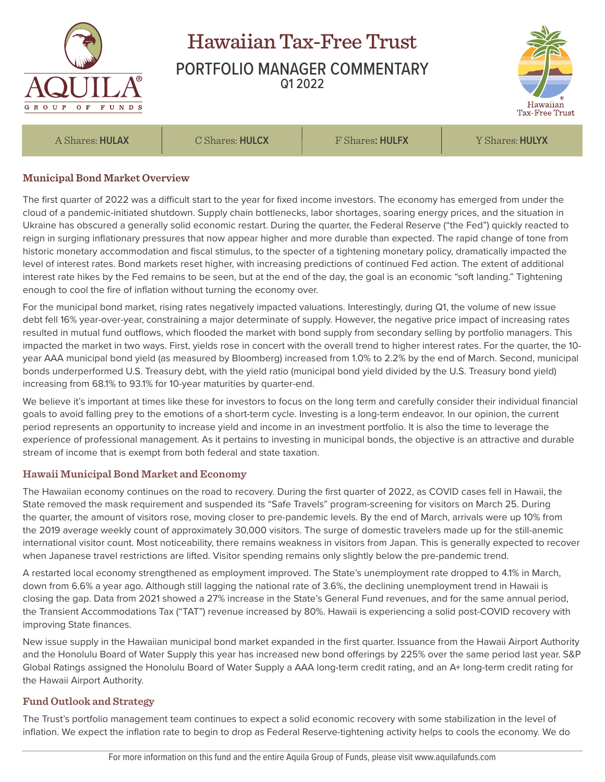

# Hawaiian Tax-Free Trust PORTFOLIO MANAGER COMMENTARY Q1 2022



A Shares: **HULAX** C Shares: **HULCX** F Shares**: HULFX** Y Shares: **HULYX**

#### **Municipal Bond Market Overview**

The first quarter of 2022 was a difficult start to the year for fixed income investors. The economy has emerged from under the cloud of a pandemic-initiated shutdown. Supply chain bottlenecks, labor shortages, soaring energy prices, and the situation in Ukraine has obscured a generally solid economic restart. During the quarter, the Federal Reserve ("the Fed") quickly reacted to reign in surging inflationary pressures that now appear higher and more durable than expected. The rapid change of tone from historic monetary accommodation and fiscal stimulus, to the specter of a tightening monetary policy, dramatically impacted the level of interest rates. Bond markets reset higher, with increasing predictions of continued Fed action. The extent of additional interest rate hikes by the Fed remains to be seen, but at the end of the day, the goal is an economic "soft landing." Tightening enough to cool the fire of inflation without turning the economy over.

For the municipal bond market, rising rates negatively impacted valuations. Interestingly, during Q1, the volume of new issue debt fell 16% year-over-year, constraining a major determinate of supply. However, the negative price impact of increasing rates resulted in mutual fund outflows, which flooded the market with bond supply from secondary selling by portfolio managers. This impacted the market in two ways. First, yields rose in concert with the overall trend to higher interest rates. For the quarter, the 10 year AAA municipal bond yield (as measured by Bloomberg) increased from 1.0% to 2.2% by the end of March. Second, municipal bonds underperformed U.S. Treasury debt, with the yield ratio (municipal bond yield divided by the U.S. Treasury bond yield) increasing from 68.1% to 93.1% for 10-year maturities by quarter-end.

We believe it's important at times like these for investors to focus on the long term and carefully consider their individual financial goals to avoid falling prey to the emotions of a short-term cycle. Investing is a long-term endeavor. In our opinion, the current period represents an opportunity to increase yield and income in an investment portfolio. It is also the time to leverage the experience of professional management. As it pertains to investing in municipal bonds, the objective is an attractive and durable stream of income that is exempt from both federal and state taxation.

## **Hawaii Municipal Bond Market and Economy**

The Hawaiian economy continues on the road to recovery. During the first quarter of 2022, as COVID cases fell in Hawaii, the State removed the mask requirement and suspended its "Safe Travels" program-screening for visitors on March 25. During the quarter, the amount of visitors rose, moving closer to pre-pandemic levels. By the end of March, arrivals were up 10% from the 2019 average weekly count of approximately 30,000 visitors. The surge of domestic travelers made up for the still-anemic international visitor count. Most noticeability, there remains weakness in visitors from Japan. This is generally expected to recover when Japanese travel restrictions are lifted. Visitor spending remains only slightly below the pre-pandemic trend.

A restarted local economy strengthened as employment improved. The State's unemployment rate dropped to 4.1% in March, down from 6.6% a year ago. Although still lagging the national rate of 3.6%, the declining unemployment trend in Hawaii is closing the gap. Data from 2021 showed a 27% increase in the State's General Fund revenues, and for the same annual period, the Transient Accommodations Tax ("TAT") revenue increased by 80%. Hawaii is experiencing a solid post-COVID recovery with improving State finances.

New issue supply in the Hawaiian municipal bond market expanded in the first quarter. Issuance from the Hawaii Airport Authority and the Honolulu Board of Water Supply this year has increased new bond offerings by 225% over the same period last year. S&P Global Ratings assigned the Honolulu Board of Water Supply a AAA long-term credit rating, and an A+ long-term credit rating for the Hawaii Airport Authority.

## **Fund Outlook and Strategy**

The Trust's portfolio management team continues to expect a solid economic recovery with some stabilization in the level of inflation. We expect the inflation rate to begin to drop as Federal Reserve-tightening activity helps to cools the economy. We do